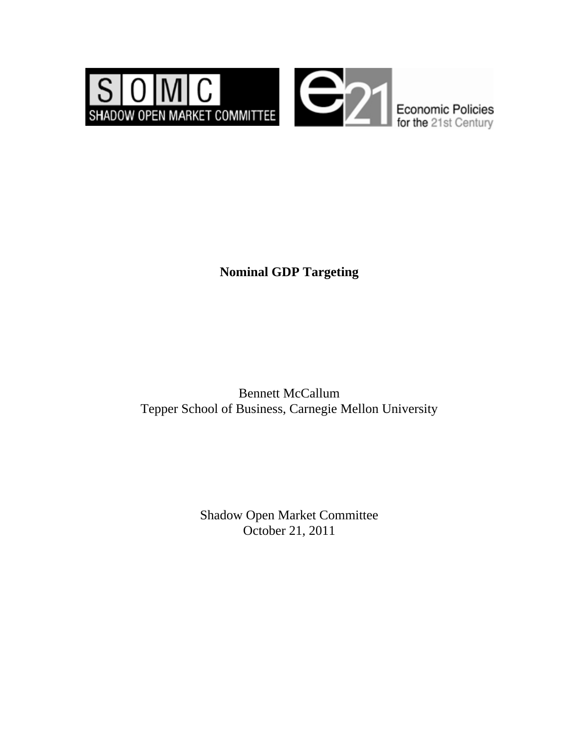

## **Nominal GDP Targeting**

Bennett McCallum Tepper School of Business, Carnegie Mellon University

> Shadow Open Market Committee October 21, 2011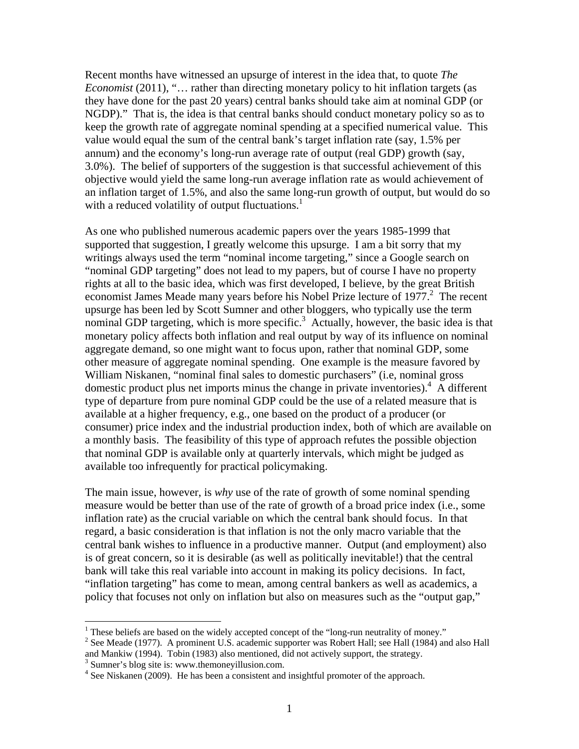Recent months have witnessed an upsurge of interest in the idea that, to quote *The Economist* (2011), "... rather than directing monetary policy to hit inflation targets (as they have done for the past 20 years) central banks should take aim at nominal GDP (or NGDP)." That is, the idea is that central banks should conduct monetary policy so as to keep the growth rate of aggregate nominal spending at a specified numerical value. This value would equal the sum of the central bank's target inflation rate (say, 1.5% per annum) and the economy's long-run average rate of output (real GDP) growth (say, 3.0%). The belief of supporters of the suggestion is that successful achievement of this objective would yield the same long-run average inflation rate as would achievement of an inflation target of 1.5%, and also the same long-run growth of output, but would do so with a reduced volatility of output fluctuations.<sup>1</sup>

As one who published numerous academic papers over the years 1985-1999 that supported that suggestion, I greatly welcome this upsurge. I am a bit sorry that my writings always used the term "nominal income targeting," since a Google search on "nominal GDP targeting" does not lead to my papers, but of course I have no property rights at all to the basic idea, which was first developed, I believe, by the great British economist James Meade many years before his Nobel Prize lecture of 1977.<sup>2</sup> The recent upsurge has been led by Scott Sumner and other bloggers, who typically use the term nominal GDP targeting, which is more specific.<sup>3</sup> Actually, however, the basic idea is that monetary policy affects both inflation and real output by way of its influence on nominal aggregate demand, so one might want to focus upon, rather that nominal GDP, some other measure of aggregate nominal spending. One example is the measure favored by William Niskanen, "nominal final sales to domestic purchasers" (i.e, nominal gross domestic product plus net imports minus the change in private inventories).  $\overline{A}$  different type of departure from pure nominal GDP could be the use of a related measure that is available at a higher frequency, e.g., one based on the product of a producer (or consumer) price index and the industrial production index, both of which are available on a monthly basis. The feasibility of this type of approach refutes the possible objection that nominal GDP is available only at quarterly intervals, which might be judged as available too infrequently for practical policymaking.

The main issue, however, is *why* use of the rate of growth of some nominal spending measure would be better than use of the rate of growth of a broad price index (i.e., some inflation rate) as the crucial variable on which the central bank should focus. In that regard, a basic consideration is that inflation is not the only macro variable that the central bank wishes to influence in a productive manner. Output (and employment) also is of great concern, so it is desirable (as well as politically inevitable!) that the central bank will take this real variable into account in making its policy decisions. In fact, "inflation targeting" has come to mean, among central bankers as well as academics, a policy that focuses not only on inflation but also on measures such as the "output gap,"

 $\overline{a}$ 

<sup>&</sup>lt;sup>1</sup> These beliefs are based on the widely accepted concept of the "long-run neutrality of money."<br><sup>2</sup> See Meade (1977), A prominent U.S. seedomic supporter wes Bebert Helli see Hell (1984) on

<sup>&</sup>lt;sup>2</sup> See Meade (1977). A prominent U.S. academic supporter was Robert Hall; see Hall (1984) and also Hall and Mankiw (1994). Tobin (1983) also mentioned, did not actively support, the strategy.

<sup>&</sup>lt;sup>3</sup> Sumner's blog site is: www.themoneyillusion.com.

<sup>&</sup>lt;sup>4</sup> See Niskanen (2009). He has been a consistent and insightful promoter of the approach.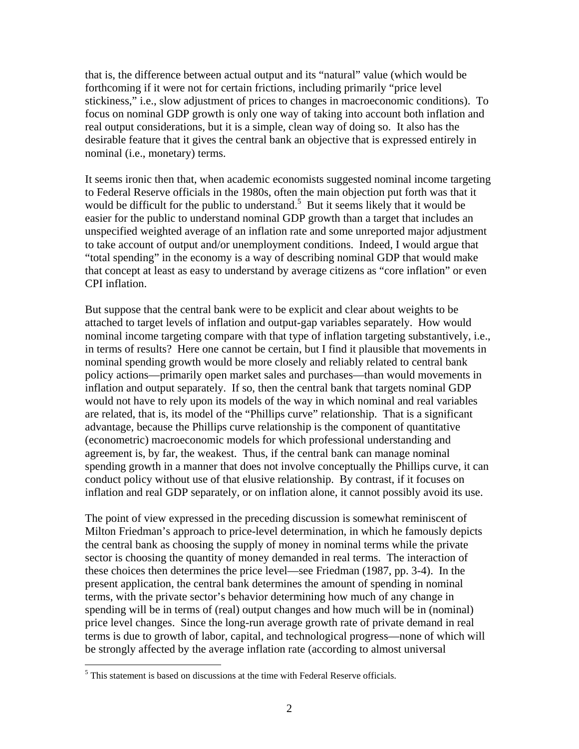that is, the difference between actual output and its "natural" value (which would be forthcoming if it were not for certain frictions, including primarily "price level stickiness," i.e., slow adjustment of prices to changes in macroeconomic conditions). To focus on nominal GDP growth is only one way of taking into account both inflation and real output considerations, but it is a simple, clean way of doing so. It also has the desirable feature that it gives the central bank an objective that is expressed entirely in nominal (i.e., monetary) terms.

It seems ironic then that, when academic economists suggested nominal income targeting to Federal Reserve officials in the 1980s, often the main objection put forth was that it would be difficult for the public to understand.<sup>5</sup> But it seems likely that it would be easier for the public to understand nominal GDP growth than a target that includes an unspecified weighted average of an inflation rate and some unreported major adjustment to take account of output and/or unemployment conditions. Indeed, I would argue that "total spending" in the economy is a way of describing nominal GDP that would make that concept at least as easy to understand by average citizens as "core inflation" or even CPI inflation.

But suppose that the central bank were to be explicit and clear about weights to be attached to target levels of inflation and output-gap variables separately. How would nominal income targeting compare with that type of inflation targeting substantively, i.e., in terms of results? Here one cannot be certain, but I find it plausible that movements in nominal spending growth would be more closely and reliably related to central bank policy actions—primarily open market sales and purchases—than would movements in inflation and output separately. If so, then the central bank that targets nominal GDP would not have to rely upon its models of the way in which nominal and real variables are related, that is, its model of the "Phillips curve" relationship. That is a significant advantage, because the Phillips curve relationship is the component of quantitative (econometric) macroeconomic models for which professional understanding and agreement is, by far, the weakest. Thus, if the central bank can manage nominal spending growth in a manner that does not involve conceptually the Phillips curve, it can conduct policy without use of that elusive relationship. By contrast, if it focuses on inflation and real GDP separately, or on inflation alone, it cannot possibly avoid its use.

The point of view expressed in the preceding discussion is somewhat reminiscent of Milton Friedman's approach to price-level determination, in which he famously depicts the central bank as choosing the supply of money in nominal terms while the private sector is choosing the quantity of money demanded in real terms. The interaction of these choices then determines the price level—see Friedman (1987, pp. 3-4). In the present application, the central bank determines the amount of spending in nominal terms, with the private sector's behavior determining how much of any change in spending will be in terms of (real) output changes and how much will be in (nominal) price level changes. Since the long-run average growth rate of private demand in real terms is due to growth of labor, capital, and technological progress—none of which will be strongly affected by the average inflation rate (according to almost universal

 $\overline{a}$ 

<sup>&</sup>lt;sup>5</sup> This statement is based on discussions at the time with Federal Reserve officials.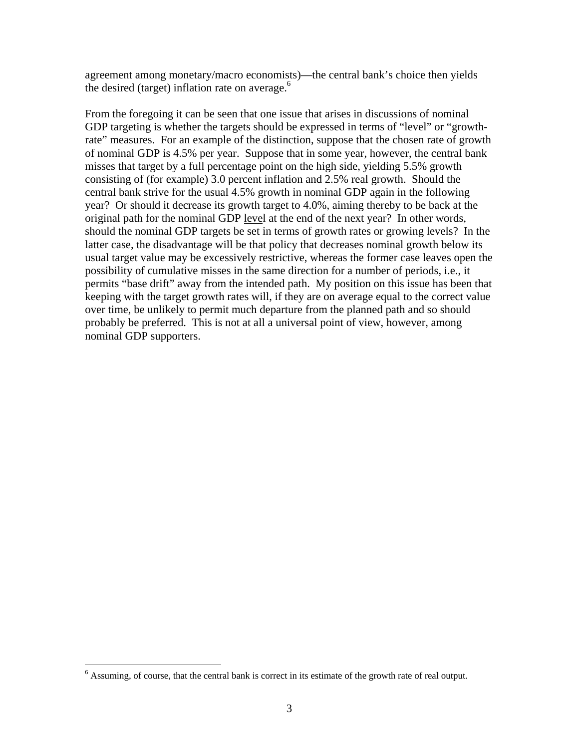agreement among monetary/macro economists)—the central bank's choice then yields the desired (target) inflation rate on average.<sup>6</sup>

From the foregoing it can be seen that one issue that arises in discussions of nominal GDP targeting is whether the targets should be expressed in terms of "level" or "growthrate" measures. For an example of the distinction, suppose that the chosen rate of growth of nominal GDP is 4.5% per year. Suppose that in some year, however, the central bank misses that target by a full percentage point on the high side, yielding 5.5% growth consisting of (for example) 3.0 percent inflation and 2.5% real growth. Should the central bank strive for the usual 4.5% growth in nominal GDP again in the following year? Or should it decrease its growth target to 4.0%, aiming thereby to be back at the original path for the nominal GDP level at the end of the next year? In other words, should the nominal GDP targets be set in terms of growth rates or growing levels? In the latter case, the disadvantage will be that policy that decreases nominal growth below its usual target value may be excessively restrictive, whereas the former case leaves open the possibility of cumulative misses in the same direction for a number of periods, i.e., it permits "base drift" away from the intended path. My position on this issue has been that keeping with the target growth rates will, if they are on average equal to the correct value over time, be unlikely to permit much departure from the planned path and so should probably be preferred. This is not at all a universal point of view, however, among nominal GDP supporters.

 $\overline{a}$ 

 $6$  Assuming, of course, that the central bank is correct in its estimate of the growth rate of real output.